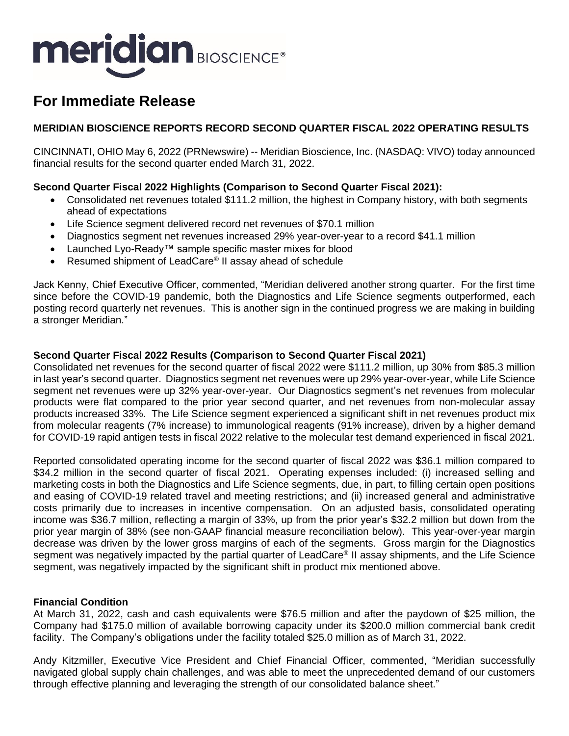# **meridian BIOSCIENCE®**

# **For Immediate Release**

# **MERIDIAN BIOSCIENCE REPORTS RECORD SECOND QUARTER FISCAL 2022 OPERATING RESULTS**

CINCINNATI, OHIO May 6, 2022 (PRNewswire) -- Meridian Bioscience, Inc. (NASDAQ: VIVO) today announced financial results for the second quarter ended March 31, 2022.

## **Second Quarter Fiscal 2022 Highlights (Comparison to Second Quarter Fiscal 2021):**

- Consolidated net revenues totaled \$111.2 million, the highest in Company history, with both segments ahead of expectations
- Life Science segment delivered record net revenues of \$70.1 million
- Diagnostics segment net revenues increased 29% year-over-year to a record \$41.1 million
- Launched Lyo-Ready™ sample specific master mixes for blood
- Resumed shipment of LeadCare® II assay ahead of schedule

Jack Kenny, Chief Executive Officer, commented, "Meridian delivered another strong quarter. For the first time since before the COVID-19 pandemic, both the Diagnostics and Life Science segments outperformed, each posting record quarterly net revenues. This is another sign in the continued progress we are making in building a stronger Meridian."

## **Second Quarter Fiscal 2022 Results (Comparison to Second Quarter Fiscal 2021)**

Consolidated net revenues for the second quarter of fiscal 2022 were \$111.2 million, up 30% from \$85.3 million in last year's second quarter. Diagnostics segment net revenues were up 29% year-over-year, while Life Science segment net revenues were up 32% year-over-year. Our Diagnostics segment's net revenues from molecular products were flat compared to the prior year second quarter, and net revenues from non-molecular assay products increased 33%. The Life Science segment experienced a significant shift in net revenues product mix from molecular reagents (7% increase) to immunological reagents (91% increase), driven by a higher demand for COVID-19 rapid antigen tests in fiscal 2022 relative to the molecular test demand experienced in fiscal 2021.

Reported consolidated operating income for the second quarter of fiscal 2022 was \$36.1 million compared to \$34.2 million in the second quarter of fiscal 2021. Operating expenses included: (i) increased selling and marketing costs in both the Diagnostics and Life Science segments, due, in part, to filling certain open positions and easing of COVID-19 related travel and meeting restrictions; and (ii) increased general and administrative costs primarily due to increases in incentive compensation. On an adjusted basis, consolidated operating income was \$36.7 million, reflecting a margin of 33%, up from the prior year's \$32.2 million but down from the prior year margin of 38% (see non-GAAP financial measure reconciliation below). This year-over-year margin decrease was driven by the lower gross margins of each of the segments. Gross margin for the Diagnostics segment was negatively impacted by the partial quarter of LeadCare® II assay shipments, and the Life Science segment, was negatively impacted by the significant shift in product mix mentioned above.

#### **Financial Condition**

At March 31, 2022, cash and cash equivalents were \$76.5 million and after the paydown of \$25 million, the Company had \$175.0 million of available borrowing capacity under its \$200.0 million commercial bank credit facility. The Company's obligations under the facility totaled \$25.0 million as of March 31, 2022.

Andy Kitzmiller, Executive Vice President and Chief Financial Officer, commented, "Meridian successfully navigated global supply chain challenges, and was able to meet the unprecedented demand of our customers through effective planning and leveraging the strength of our consolidated balance sheet."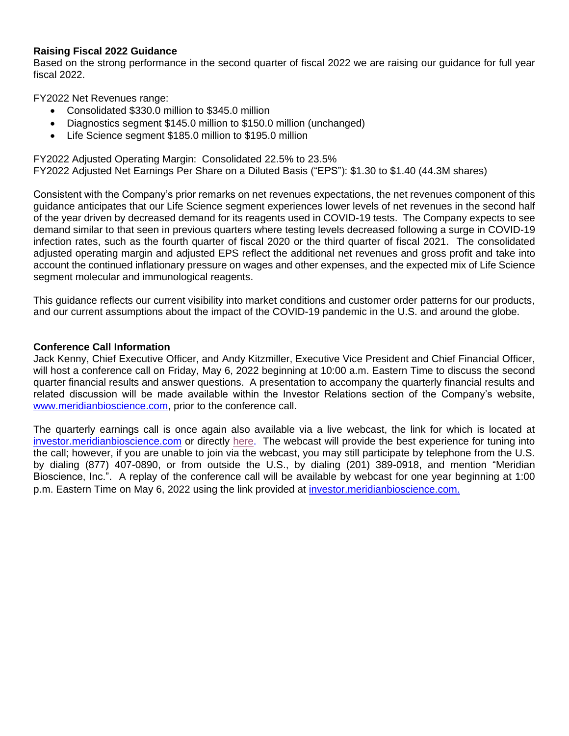#### **Raising Fiscal 2022 Guidance**

Based on the strong performance in the second quarter of fiscal 2022 we are raising our guidance for full year fiscal 2022.

FY2022 Net Revenues range:

- Consolidated \$330.0 million to \$345.0 million
- Diagnostics segment \$145.0 million to \$150.0 million (unchanged)
- Life Science segment \$185.0 million to \$195.0 million

FY2022 Adjusted Operating Margin: Consolidated 22.5% to 23.5% FY2022 Adjusted Net Earnings Per Share on a Diluted Basis ("EPS"): \$1.30 to \$1.40 (44.3M shares)

Consistent with the Company's prior remarks on net revenues expectations, the net revenues component of this guidance anticipates that our Life Science segment experiences lower levels of net revenues in the second half of the year driven by decreased demand for its reagents used in COVID-19 tests. The Company expects to see demand similar to that seen in previous quarters where testing levels decreased following a surge in COVID-19 infection rates, such as the fourth quarter of fiscal 2020 or the third quarter of fiscal 2021. The consolidated adjusted operating margin and adjusted EPS reflect the additional net revenues and gross profit and take into account the continued inflationary pressure on wages and other expenses, and the expected mix of Life Science segment molecular and immunological reagents.

This guidance reflects our current visibility into market conditions and customer order patterns for our products, and our current assumptions about the impact of the COVID-19 pandemic in the U.S. and around the globe.

#### **Conference Call Information**

Jack Kenny, Chief Executive Officer, and Andy Kitzmiller, Executive Vice President and Chief Financial Officer, will host a conference call on Friday, May 6, 2022 beginning at 10:00 a.m. Eastern Time to discuss the second quarter financial results and answer questions. A presentation to accompany the quarterly financial results and related discussion will be made available within the Investor Relations section of the Company's website, [www.meridianbioscience.com,](http://www.meridianbioscience.com/) prior to the conference call.

The quarterly earnings call is once again also available via a live webcast, the link for which is located at [investor.meridianbioscience.com](http://www.meridianbioscience.com/) or directly [here.](https://www.webcast-eqs.com/register/meridianbio05062022_en/en) The webcast will provide the best experience for tuning into the call; however, if you are unable to join via the webcast, you may still participate by telephone from the U.S. by dialing (877) 407-0890, or from outside the U.S., by dialing (201) 389-0918, and mention "Meridian Bioscience, Inc.". A replay of the conference call will be available by webcast for one year beginning at 1:00 p.m. Eastern Time on May 6, 2022 using the link provided at [investor.meridianbioscience.com.](http://www.meridianbioscience.com/)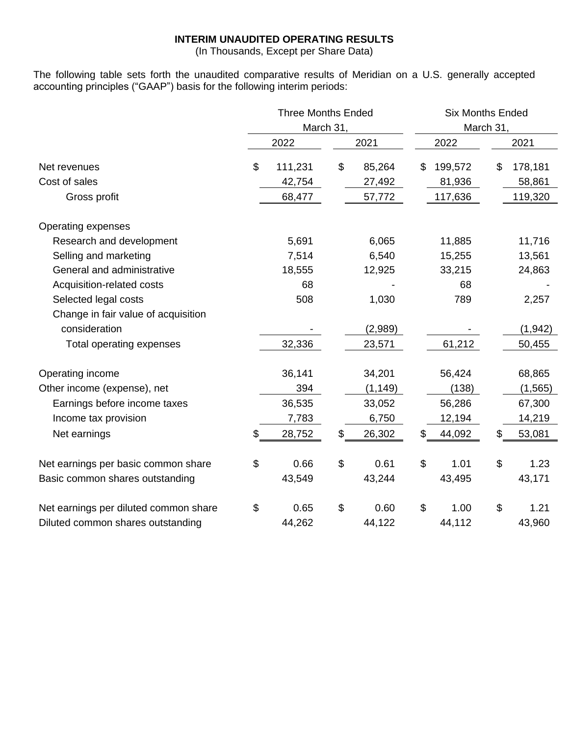# **INTERIM UNAUDITED OPERATING RESULTS**

(In Thousands, Except per Share Data)

The following table sets forth the unaudited comparative results of Meridian on a U.S. generally accepted accounting principles ("GAAP") basis for the following interim periods:

|                                       | <b>Three Months Ended</b><br>March 31, |         |    |          |      | <b>Six Months Ended</b><br>March 31, |    |          |  |  |  |
|---------------------------------------|----------------------------------------|---------|----|----------|------|--------------------------------------|----|----------|--|--|--|
|                                       |                                        | 2022    |    | 2021     | 2022 |                                      |    | 2021     |  |  |  |
| Net revenues                          | \$                                     | 111,231 | \$ | 85,264   | S    | 199,572                              | \$ | 178,181  |  |  |  |
| Cost of sales                         |                                        | 42,754  |    | 27,492   |      | 81,936                               |    | 58,861   |  |  |  |
| Gross profit                          |                                        | 68,477  |    | 57,772   |      | 117,636                              |    | 119,320  |  |  |  |
| Operating expenses                    |                                        |         |    |          |      |                                      |    |          |  |  |  |
| Research and development              |                                        | 5,691   |    | 6,065    |      | 11,885                               |    | 11,716   |  |  |  |
| Selling and marketing                 |                                        | 7,514   |    | 6,540    |      | 15,255                               |    | 13,561   |  |  |  |
| General and administrative            |                                        | 18,555  |    | 12,925   |      | 33,215                               |    | 24,863   |  |  |  |
| Acquisition-related costs             |                                        | 68      |    |          |      | 68                                   |    |          |  |  |  |
| Selected legal costs                  |                                        | 508     |    | 1,030    |      | 789                                  |    | 2,257    |  |  |  |
| Change in fair value of acquisition   |                                        |         |    |          |      |                                      |    |          |  |  |  |
| consideration                         |                                        |         |    | (2,989)  |      |                                      |    | (1, 942) |  |  |  |
| Total operating expenses              |                                        | 32,336  |    | 23,571   |      | 61,212                               |    | 50,455   |  |  |  |
| Operating income                      |                                        | 36,141  |    | 34,201   |      | 56,424                               |    | 68,865   |  |  |  |
| Other income (expense), net           |                                        | 394     |    | (1, 149) |      | (138)                                |    | (1, 565) |  |  |  |
| Earnings before income taxes          |                                        | 36,535  |    | 33,052   |      | 56,286                               |    | 67,300   |  |  |  |
| Income tax provision                  |                                        | 7,783   |    | 6,750    |      | 12,194                               |    | 14,219   |  |  |  |
| Net earnings                          | \$                                     | 28,752  | \$ | 26,302   | \$   | 44,092                               | \$ | 53,081   |  |  |  |
| Net earnings per basic common share   | \$                                     | 0.66    | \$ | 0.61     | \$   | 1.01                                 | \$ | 1.23     |  |  |  |
| Basic common shares outstanding       |                                        | 43,549  |    | 43,244   |      | 43,495                               |    | 43,171   |  |  |  |
| Net earnings per diluted common share | \$                                     | 0.65    | \$ | 0.60     | \$   | 1.00                                 | \$ | 1.21     |  |  |  |
| Diluted common shares outstanding     |                                        | 44,262  |    | 44,122   |      | 44,112                               |    | 43,960   |  |  |  |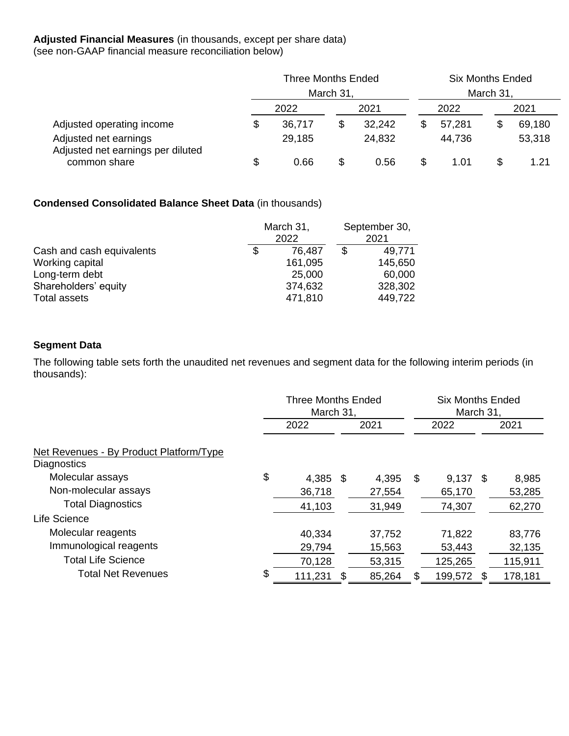#### **Adjusted Financial Measures** (in thousands, except per share data) (see non-GAAP financial measure reconciliation below)

|                                                            | <b>Three Months Ended</b><br>March 31, |        |  |        |      | <b>Six Months Ended</b><br>March 31, |      |        |  |  |
|------------------------------------------------------------|----------------------------------------|--------|--|--------|------|--------------------------------------|------|--------|--|--|
|                                                            |                                        |        |  |        |      |                                      |      |        |  |  |
|                                                            | 2022                                   |        |  | 2021   | 2022 |                                      | 2021 |        |  |  |
| Adjusted operating income                                  | \$                                     | 36,717 |  | 32,242 |      | 57,281                               | \$   | 69,180 |  |  |
| Adjusted net earnings<br>Adjusted net earnings per diluted |                                        | 29,185 |  | 24,832 |      | 44,736                               |      | 53,318 |  |  |
| common share                                               | \$                                     | 0.66   |  | 0.56   |      | 1.01                                 | \$   | 1.21   |  |  |

# **Condensed Consolidated Balance Sheet Data** (in thousands)

|                           | March 31, | September 30,<br>2021 |    |         |
|---------------------------|-----------|-----------------------|----|---------|
| Cash and cash equivalents | S         | 76.487                | \$ | 49,771  |
| Working capital           |           | 161,095               |    | 145,650 |
| Long-term debt            |           | 25,000                |    | 60,000  |
| Shareholders' equity      |           | 374,632               |    | 328,302 |
| Total assets              |           | 471,810               |    | 449,722 |

# **Segment Data**

The following table sets forth the unaudited net revenues and segment data for the following interim periods (in thousands):

|                                         | <b>Three Months Ended</b><br>March 31, |  |        |      | <b>Six Months Ended</b><br>March 31, |      |         |  |
|-----------------------------------------|----------------------------------------|--|--------|------|--------------------------------------|------|---------|--|
|                                         | 2022<br>2021                           |  |        | 2022 |                                      | 2021 |         |  |
| Net Revenues - By Product Platform/Type |                                        |  |        |      |                                      |      |         |  |
| Diagnostics                             |                                        |  |        |      |                                      |      |         |  |
| Molecular assays                        | \$<br>$4,385$ \$                       |  | 4,395  | \$   | $9,137$ \$                           |      | 8,985   |  |
| Non-molecular assays                    | 36,718                                 |  | 27,554 |      | 65,170                               |      | 53,285  |  |
| <b>Total Diagnostics</b>                | 41,103                                 |  | 31,949 |      | 74,307                               |      | 62,270  |  |
| Life Science                            |                                        |  |        |      |                                      |      |         |  |
| Molecular reagents                      | 40,334                                 |  | 37,752 |      | 71,822                               |      | 83,776  |  |
| Immunological reagents                  | 29,794                                 |  | 15,563 |      | 53,443                               |      | 32,135  |  |
| <b>Total Life Science</b>               | 70,128                                 |  | 53,315 |      | 125,265                              |      | 115,911 |  |
| <b>Total Net Revenues</b>               | \$<br>111,231                          |  | 85,264 | S    | 199,572                              | \$.  | 178,181 |  |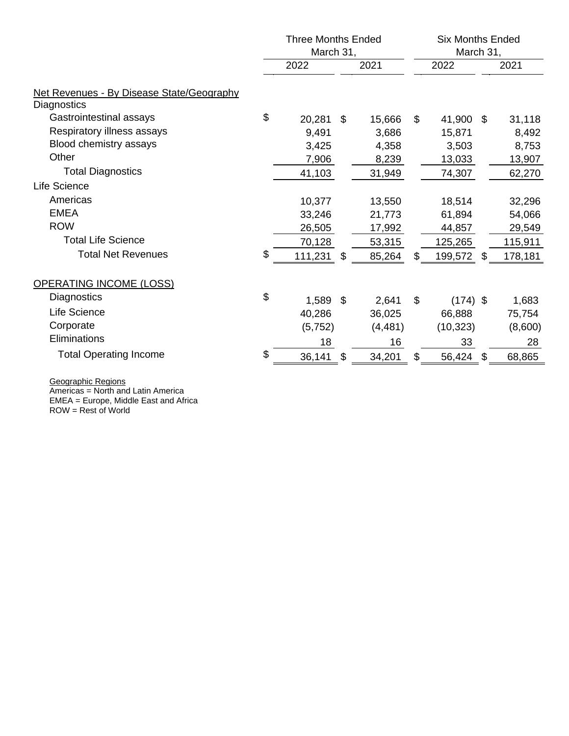|                                                          |      | <b>Three Months Ended</b><br>March 31, |    |          |    | <b>Six Months Ended</b><br>March 31, |     |         |
|----------------------------------------------------------|------|----------------------------------------|----|----------|----|--------------------------------------|-----|---------|
|                                                          | 2022 |                                        |    | 2021     |    | 2022                                 |     | 2021    |
| Net Revenues - By Disease State/Geography<br>Diagnostics |      |                                        |    |          |    |                                      |     |         |
| Gastrointestinal assays                                  | \$   | 20,281                                 | \$ | 15,666   | \$ | 41,900                               | -\$ | 31,118  |
| Respiratory illness assays                               |      | 9,491                                  |    | 3,686    |    | 15,871                               |     | 8,492   |
| Blood chemistry assays                                   |      | 3,425                                  |    | 4,358    |    | 3,503                                |     | 8,753   |
| Other                                                    |      | 7,906                                  |    | 8,239    |    | 13,033                               |     | 13,907  |
| <b>Total Diagnostics</b>                                 |      | 41,103                                 |    | 31,949   |    | 74,307                               |     | 62,270  |
| Life Science                                             |      |                                        |    |          |    |                                      |     |         |
| Americas                                                 |      | 10,377                                 |    | 13,550   |    | 18,514                               |     | 32,296  |
| <b>EMEA</b>                                              |      | 33,246                                 |    | 21,773   |    | 61,894                               |     | 54,066  |
| <b>ROW</b>                                               |      | 26,505                                 |    | 17,992   |    | 44,857                               |     | 29,549  |
| <b>Total Life Science</b>                                |      | 70,128                                 |    | 53,315   |    | 125,265                              |     | 115,911 |
| <b>Total Net Revenues</b>                                | \$   | 111,231                                | \$ | 85,264   | \$ | 199,572                              | \$  | 178,181 |
| <b>OPERATING INCOME (LOSS)</b>                           |      |                                        |    |          |    |                                      |     |         |
| Diagnostics                                              | \$   | 1,589                                  | \$ | 2,641    | \$ | $(174)$ \$                           |     | 1,683   |
| Life Science                                             |      | 40,286                                 |    | 36,025   |    | 66,888                               |     | 75,754  |
| Corporate                                                |      | (5, 752)                               |    | (4, 481) |    | (10, 323)                            |     | (8,600) |
| Eliminations                                             |      | 18                                     |    | 16       |    | 33                                   |     | 28      |
| <b>Total Operating Income</b>                            | \$   | 36,141                                 | \$ | 34,201   | \$ | 56,424                               | \$  | 68,865  |

Geographic Regions

Americas = North and Latin America EMEA = Europe, Middle East and Africa ROW = Rest of World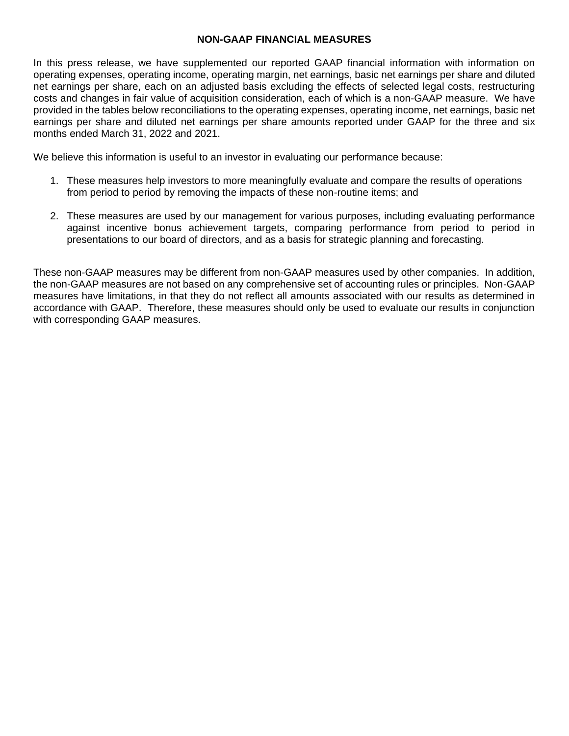#### **NON-GAAP FINANCIAL MEASURES**

In this press release, we have supplemented our reported GAAP financial information with information on operating expenses, operating income, operating margin, net earnings, basic net earnings per share and diluted net earnings per share, each on an adjusted basis excluding the effects of selected legal costs, restructuring costs and changes in fair value of acquisition consideration, each of which is a non-GAAP measure. We have provided in the tables below reconciliations to the operating expenses, operating income, net earnings, basic net earnings per share and diluted net earnings per share amounts reported under GAAP for the three and six months ended March 31, 2022 and 2021.

We believe this information is useful to an investor in evaluating our performance because:

- 1. These measures help investors to more meaningfully evaluate and compare the results of operations from period to period by removing the impacts of these non-routine items; and
- 2. These measures are used by our management for various purposes, including evaluating performance against incentive bonus achievement targets, comparing performance from period to period in presentations to our board of directors, and as a basis for strategic planning and forecasting.

These non-GAAP measures may be different from non-GAAP measures used by other companies. In addition, the non-GAAP measures are not based on any comprehensive set of accounting rules or principles. Non-GAAP measures have limitations, in that they do not reflect all amounts associated with our results as determined in accordance with GAAP. Therefore, these measures should only be used to evaluate our results in conjunction with corresponding GAAP measures.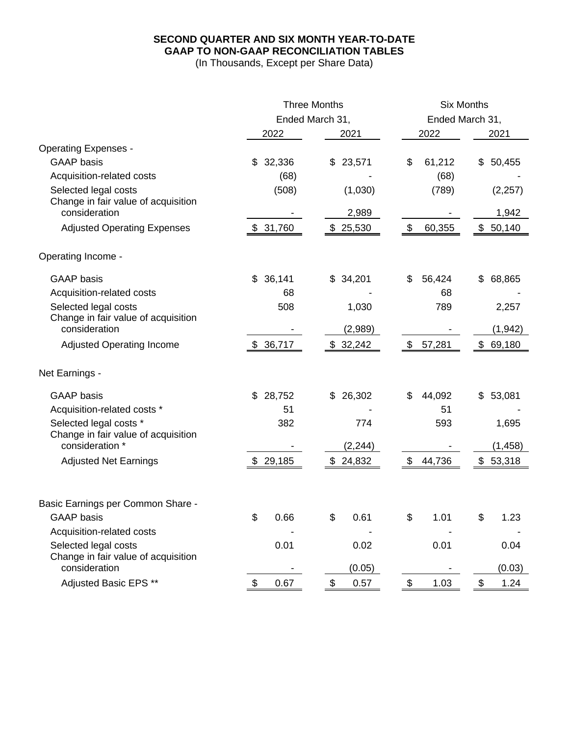# **SECOND QUARTER AND SIX MONTH YEAR-TO-DATE GAAP TO NON-GAAP RECONCILIATION TABLES**

(In Thousands, Except per Share Data)

|                                                                                        | <b>Six Months</b> |  |  |  |  |  |
|----------------------------------------------------------------------------------------|-------------------|--|--|--|--|--|
| Ended March 31,<br>Ended March 31,                                                     |                   |  |  |  |  |  |
| 2022<br>2021<br>2022<br>2021                                                           |                   |  |  |  |  |  |
| <b>Operating Expenses -</b>                                                            |                   |  |  |  |  |  |
| <b>GAAP</b> basis<br>23,571<br>\$<br>32,336<br>\$<br>61,212<br>\$<br>\$                | 50,455            |  |  |  |  |  |
| Acquisition-related costs<br>(68)<br>(68)                                              |                   |  |  |  |  |  |
| Selected legal costs<br>(508)<br>(1,030)<br>(789)                                      | (2, 257)          |  |  |  |  |  |
| Change in fair value of acquisition                                                    |                   |  |  |  |  |  |
| consideration<br>2,989                                                                 | 1,942             |  |  |  |  |  |
| 25,530<br>\$<br>\$<br><b>Adjusted Operating Expenses</b><br>\$31,760<br>\$<br>60,355   | 50,140            |  |  |  |  |  |
| Operating Income -                                                                     |                   |  |  |  |  |  |
| 36,141<br>\$34,201<br>\$<br><b>GAAP</b> basis<br>56,424<br>\$<br>\$                    | 68,865            |  |  |  |  |  |
| 68<br>68<br>Acquisition-related costs                                                  |                   |  |  |  |  |  |
| 789<br>Selected legal costs<br>508<br>1,030                                            | 2,257             |  |  |  |  |  |
| Change in fair value of acquisition                                                    |                   |  |  |  |  |  |
| consideration<br>(2,989)                                                               | (1, 942)          |  |  |  |  |  |
| 32,242<br><b>Adjusted Operating Income</b><br>\$<br>36,717<br>\$<br>57,281<br>\$<br>\$ | 69,180            |  |  |  |  |  |
| Net Earnings -                                                                         |                   |  |  |  |  |  |
| 28,752<br>26,302<br>\$<br><b>GAAP</b> basis<br>44,092<br>\$<br>\$<br>\$                | 53,081            |  |  |  |  |  |
| Acquisition-related costs *<br>51<br>51                                                |                   |  |  |  |  |  |
| Selected legal costs *<br>382<br>774<br>593                                            | 1,695             |  |  |  |  |  |
| Change in fair value of acquisition<br>consideration *<br>(2, 244)                     | (1, 458)          |  |  |  |  |  |
| 24,832<br>\$<br>\$<br><b>Adjusted Net Earnings</b><br>\$<br>29,185<br>\$<br>44,736     | 53,318            |  |  |  |  |  |
|                                                                                        |                   |  |  |  |  |  |
| Basic Earnings per Common Share -                                                      |                   |  |  |  |  |  |
| GAAP basis<br>\$<br>0.66<br>0.61<br>\$<br>\$<br>1.01<br>\$                             | 1.23              |  |  |  |  |  |
| Acquisition-related costs                                                              |                   |  |  |  |  |  |
| Selected legal costs<br>0.01<br>0.02<br>0.01                                           | 0.04              |  |  |  |  |  |
| Change in fair value of acquisition<br>consideration<br>(0.05)                         | (0.03)            |  |  |  |  |  |
| Adjusted Basic EPS **<br>\$<br>0.67<br>\$<br>0.57<br>\$<br>1.03<br>\$                  | 1.24              |  |  |  |  |  |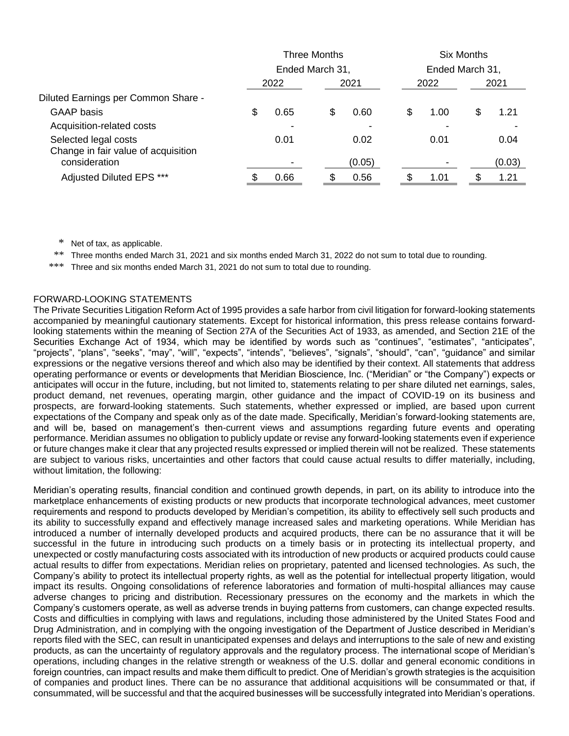|                                                             |   |                 | Three Months |              |   | <b>Six Months</b> |  |        |  |  |
|-------------------------------------------------------------|---|-----------------|--------------|--------------|---|-------------------|--|--------|--|--|
|                                                             |   | Ended March 31, |              |              |   | Ended March 31,   |  |        |  |  |
|                                                             |   | 2022            |              | 2021<br>2022 |   |                   |  | 2021   |  |  |
| Diluted Earnings per Common Share -                         |   |                 |              |              |   |                   |  |        |  |  |
| <b>GAAP</b> basis                                           | S | 0.65            | \$           | 0.60         | S | 1.00              |  | 1.21   |  |  |
| Acquisition-related costs                                   |   |                 |              |              |   |                   |  |        |  |  |
| Selected legal costs<br>Change in fair value of acquisition |   | 0.01            |              | 0.02         |   | 0.01              |  | 0.04   |  |  |
| consideration                                               |   |                 |              | (0.05)       |   |                   |  | (0.03) |  |  |
| Adjusted Diluted EPS ***                                    |   | 0.66            |              | 0.56         |   | 1.01              |  | 1.21   |  |  |

Net of tax, as applicable.

\*\* Three months ended March 31, 2021 and six months ended March 31, 2022 do not sum to total due to rounding.

\*\*\* Three and six months ended March 31, 2021 do not sum to total due to rounding.

#### FORWARD-LOOKING STATEMENTS

The Private Securities Litigation Reform Act of 1995 provides a safe harbor from civil litigation for forward-looking statements accompanied by meaningful cautionary statements. Except for historical information, this press release contains forwardlooking statements within the meaning of Section 27A of the Securities Act of 1933, as amended, and Section 21E of the Securities Exchange Act of 1934, which may be identified by words such as "continues", "estimates", "anticipates", "projects", "plans", "seeks", "may", "will", "expects", "intends", "believes", "signals", "should", "can", "guidance" and similar expressions or the negative versions thereof and which also may be identified by their context. All statements that address operating performance or events or developments that Meridian Bioscience, Inc. ("Meridian" or "the Company") expects or anticipates will occur in the future, including, but not limited to, statements relating to per share diluted net earnings, sales, product demand, net revenues, operating margin, other guidance and the impact of COVID-19 on its business and prospects, are forward-looking statements. Such statements, whether expressed or implied, are based upon current expectations of the Company and speak only as of the date made. Specifically, Meridian's forward-looking statements are, and will be, based on management's then-current views and assumptions regarding future events and operating performance. Meridian assumes no obligation to publicly update or revise any forward-looking statements even if experience or future changes make it clear that any projected results expressed or implied therein will not be realized. These statements are subject to various risks, uncertainties and other factors that could cause actual results to differ materially, including, without limitation, the following:

Meridian's operating results, financial condition and continued growth depends, in part, on its ability to introduce into the marketplace enhancements of existing products or new products that incorporate technological advances, meet customer requirements and respond to products developed by Meridian's competition, its ability to effectively sell such products and its ability to successfully expand and effectively manage increased sales and marketing operations. While Meridian has introduced a number of internally developed products and acquired products, there can be no assurance that it will be successful in the future in introducing such products on a timely basis or in protecting its intellectual property, and unexpected or costly manufacturing costs associated with its introduction of new products or acquired products could cause actual results to differ from expectations. Meridian relies on proprietary, patented and licensed technologies. As such, the Company's ability to protect its intellectual property rights, as well as the potential for intellectual property litigation, would impact its results. Ongoing consolidations of reference laboratories and formation of multi-hospital alliances may cause adverse changes to pricing and distribution. Recessionary pressures on the economy and the markets in which the Company's customers operate, as well as adverse trends in buying patterns from customers, can change expected results. Costs and difficulties in complying with laws and regulations, including those administered by the United States Food and Drug Administration, and in complying with the ongoing investigation of the Department of Justice described in Meridian's reports filed with the SEC, can result in unanticipated expenses and delays and interruptions to the sale of new and existing products, as can the uncertainty of regulatory approvals and the regulatory process. The international scope of Meridian's operations, including changes in the relative strength or weakness of the U.S. dollar and general economic conditions in foreign countries, can impact results and make them difficult to predict. One of Meridian's growth strategies is the acquisition of companies and product lines. There can be no assurance that additional acquisitions will be consummated or that, if consummated, will be successful and that the acquired businesses will be successfully integrated into Meridian's operations.